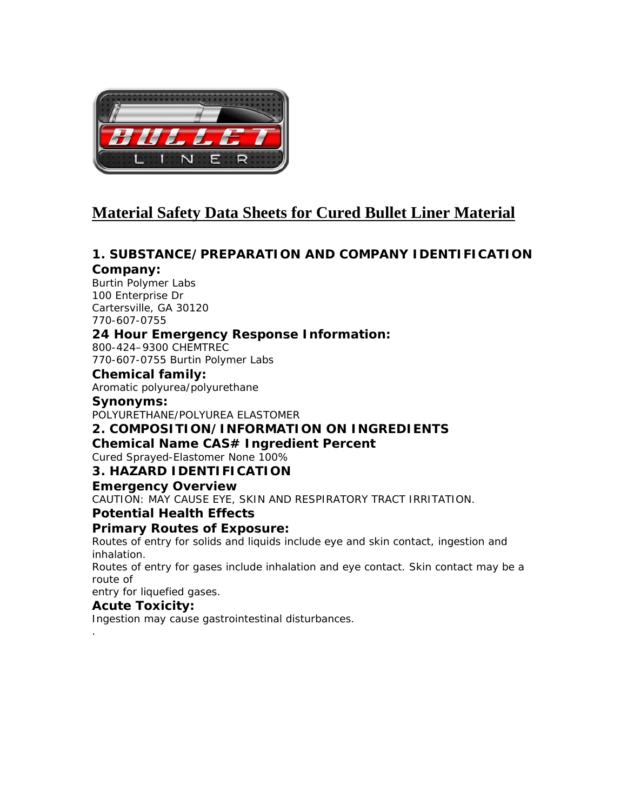

# **Material Safety Data Sheets for Cured Bullet Liner Material**

# *1. SUBSTANCE/PREPARATION AND COMPANY IDENTIFICATION*

### *Company:*

Burtin Polymer Labs 100 Enterprise Dr Cartersville, GA 30120 770-607-0755

## *24 Hour Emergency Response Information:*

800-424–9300 CHEMTREC 770-607-0755 Burtin Polymer Labs

### *Chemical family:*

Aromatic polyurea/polyurethane

## *Synonyms:*

POLYURETHANE/POLYUREA ELASTOMER

## *2. COMPOSITION/INFORMATION ON INGREDIENTS*

### *Chemical Name CAS# Ingredient Percent*

Cured Sprayed-Elastomer None 100%

## *3. HAZARD IDENTIFICATION*

### *Emergency Overview*

CAUTION: MAY CAUSE EYE, SKIN AND RESPIRATORY TRACT IRRITATION.

## *Potential Health Effects*

### *Primary Routes of Exposure:*

Routes of entry for solids and liquids include eye and skin contact, ingestion and inhalation.

Routes of entry for gases include inhalation and eye contact. Skin contact may be a route of

entry for liquefied gases.

### *Acute Toxicity***:**

*.* 

Ingestion may cause gastrointestinal disturbances.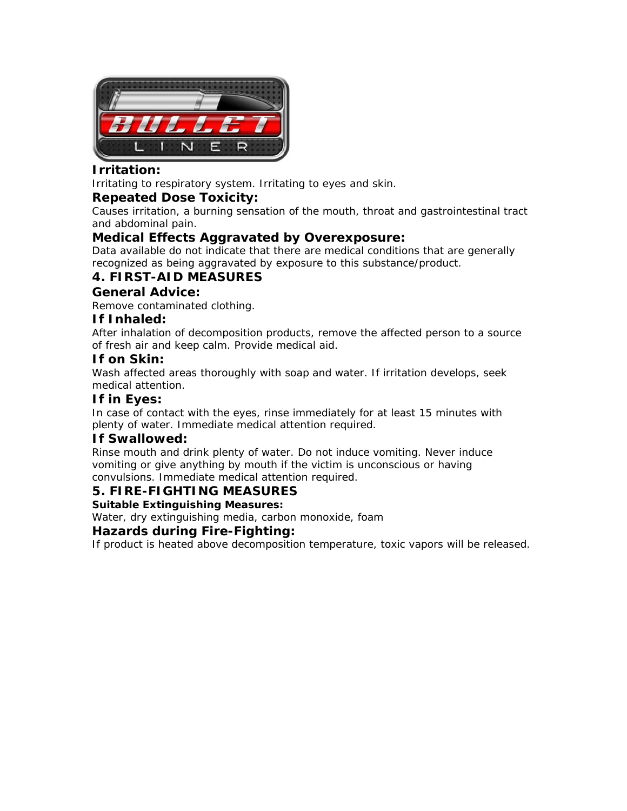

## *Irritation:*

Irritating to respiratory system. Irritating to eyes and skin.

### *Repeated Dose Toxicity:*

Causes irritation, a burning sensation of the mouth, throat and gastrointestinal tract and abdominal pain.

### *Medical Effects Aggravated by Overexposure:*

Data available do not indicate that there are medical conditions that are generally recognized as being aggravated by exposure to this substance/product.

## *4. FIRST-AID MEASURES*

### *General Advice:*

Remove contaminated clothing.

### *If Inhaled:*

After inhalation of decomposition products, remove the affected person to a source of fresh air and keep calm. Provide medical aid.

### *If on Skin:*

Wash affected areas thoroughly with soap and water. If irritation develops, seek medical attention.

### *If in Eyes:*

In case of contact with the eyes, rinse immediately for at least 15 minutes with plenty of water. Immediate medical attention required.

### *If Swallowed:*

Rinse mouth and drink plenty of water. Do not induce vomiting. Never induce vomiting or give anything by mouth if the victim is unconscious or having convulsions. Immediate medical attention required.

### *5. FIRE-FIGHTING MEASURES*

### **Suitable Extinguishing Measures:**

Water, dry extinguishing media, carbon monoxide, foam

### *Hazards during Fire-Fighting:*

If product is heated above decomposition temperature, toxic vapors will be released.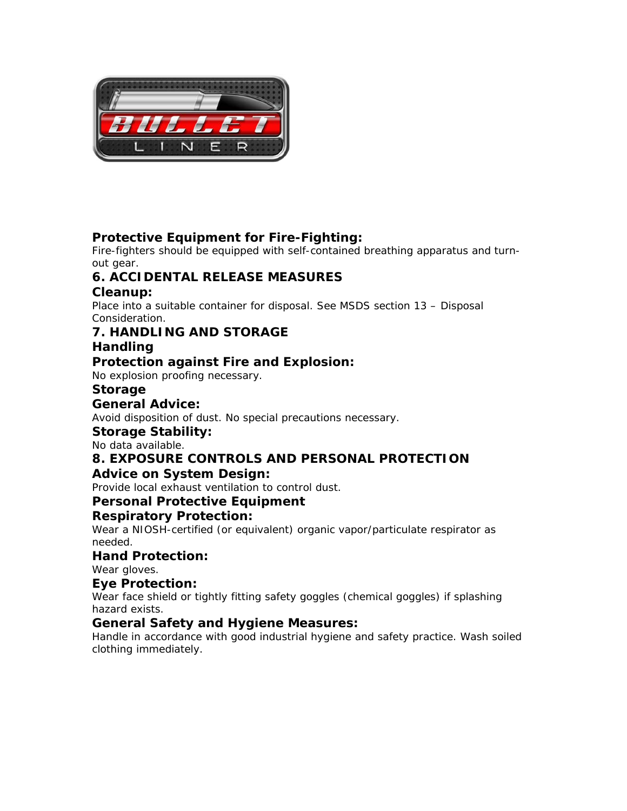

## *Protective Equipment for Fire-Fighting:*

Fire-fighters should be equipped with self-contained breathing apparatus and turnout gear.

# *6. ACCIDENTAL RELEASE MEASURES*

## *Cleanup:*

Place into a suitable container for disposal. See MSDS section 13 – Disposal Consideration.

# *7. HANDLING AND STORAGE*

# *Handling*

## *Protection against Fire and Explosion:*

No explosion proofing necessary.

## *Storage*

## *General Advice:*

Avoid disposition of dust. No special precautions necessary.

### *Storage Stability:*

No data available.

# *8. EXPOSURE CONTROLS AND PERSONAL PROTECTION*

## *Advice on System Design:*

Provide local exhaust ventilation to control dust.

## *Personal Protective Equipment*

## *Respiratory Protection:*

Wear a NIOSH-certified (or equivalent) organic vapor/particulate respirator as needed.

### *Hand Protection:*

Wear gloves.

### *Eye Protection:*

Wear face shield or tightly fitting safety goggles (chemical goggles) if splashing hazard exists.

### *General Safety and Hygiene Measures:*

Handle in accordance with good industrial hygiene and safety practice. Wash soiled clothing immediately.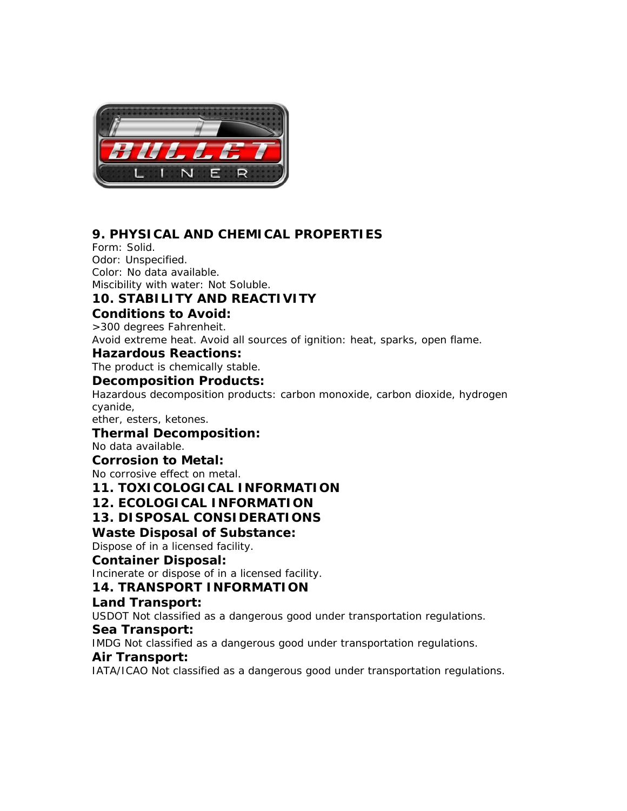

# *9. PHYSICAL AND CHEMICAL PROPERTIES*

Form: Solid. Odor: Unspecified. Color: No data available. Miscibility with water: Not Soluble.

## *10. STABILITY AND REACTIVITY*

### *Conditions to Avoid:*

>300 degrees Fahrenheit. Avoid extreme heat. Avoid all sources of ignition: heat, sparks, open flame.

### *Hazardous Reactions:*

The product is chemically stable.

### *Decomposition Products:*

Hazardous decomposition products: carbon monoxide, carbon dioxide, hydrogen cyanide,

ether, esters, ketones.

### *Thermal Decomposition:*

No data available.

### *Corrosion to Metal:*

No corrosive effect on metal.

*11. TOXICOLOGICAL INFORMATION* 

### *12. ECOLOGICAL INFORMATION*

## *13. DISPOSAL CONSIDERATIONS*

### *Waste Disposal of Substance:*

Dispose of in a licensed facility.

### *Container Disposal:*

Incinerate or dispose of in a licensed facility.

## *14. TRANSPORT INFORMATION*

### *Land Transport:*

*USDOT Not classified as a dangerous good under transportation regulations.* 

### *Sea Transport:*

*IMDG Not classified as a dangerous good under transportation regulations.* 

### *Air Transport:*

*IATA/ICAO Not classified as a dangerous good under transportation regulations.*